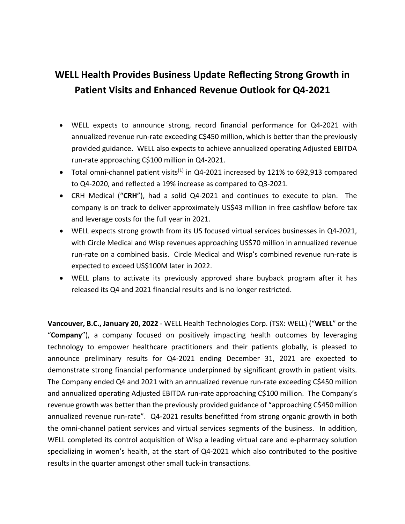# **WELL Health Provides Business Update Reflecting Strong Growth in Patient Visits and Enhanced Revenue Outlook for Q4-2021**

- WELL expects to announce strong, record financial performance for Q4-2021 with annualized revenue run-rate exceeding C\$450 million, which is better than the previously provided guidance. WELL also expects to achieve annualized operating Adjusted EBITDA run-rate approaching C\$100 million in Q4-2021.
- Total omni-channel patient visits<sup>(1)</sup> in Q4-2021 increased by 121% to 692,913 compared to Q4-2020, and reflected a 19% increase as compared to Q3-2021.
- CRH Medical ("**CRH**"), had a solid Q4-2021 and continues to execute to plan. The company is on track to deliver approximately US\$43 million in free cashflow before tax and leverage costs for the full year in 2021.
- WELL expects strong growth from its US focused virtual services businesses in Q4-2021, with Circle Medical and Wisp revenues approaching US\$70 million in annualized revenue run-rate on a combined basis. Circle Medical and Wisp's combined revenue run-rate is expected to exceed US\$100M later in 2022.
- WELL plans to activate its previously approved share buyback program after it has released its Q4 and 2021 financial results and is no longer restricted.

**Vancouver, B.C., January 20, 2022** - WELL Health Technologies Corp. (TSX: WELL) ("**WELL**" or the "**Company**"), a company focused on positively impacting health outcomes by leveraging technology to empower healthcare practitioners and their patients globally, is pleased to announce preliminary results for Q4-2021 ending December 31, 2021 are expected to demonstrate strong financial performance underpinned by significant growth in patient visits. The Company ended Q4 and 2021 with an annualized revenue run-rate exceeding C\$450 million and annualized operating Adjusted EBITDA run-rate approaching C\$100 million. The Company's revenue growth was better than the previously provided guidance of "approaching C\$450 million annualized revenue run-rate". Q4-2021 results benefitted from strong organic growth in both the omni-channel patient services and virtual services segments of the business. In addition, WELL completed its control acquisition of Wisp a leading virtual care and e-pharmacy solution specializing in women's health, at the start of Q4-2021 which also contributed to the positive results in the quarter amongst other small tuck-in transactions.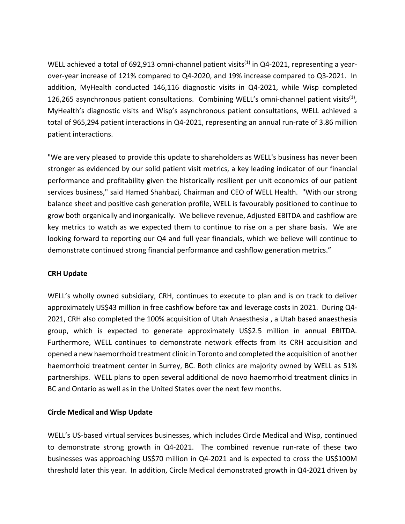WELL achieved a total of 692,913 omni-channel patient visits<sup>(1)</sup> in Q4-2021, representing a yearover-year increase of 121% compared to Q4-2020, and 19% increase compared to Q3-2021. In addition, MyHealth conducted 146,116 diagnostic visits in Q4-2021, while Wisp completed 126,265 asynchronous patient consultations. Combining WELL's omni-channel patient visits<sup>(1)</sup>, MyHealth's diagnostic visits and Wisp's asynchronous patient consultations, WELL achieved a total of 965,294 patient interactions in Q4-2021, representing an annual run-rate of 3.86 million patient interactions.

"We are very pleased to provide this update to shareholders as WELL's business has never been stronger as evidenced by our solid patient visit metrics, a key leading indicator of our financial performance and profitability given the historically resilient per unit economics of our patient services business," said Hamed Shahbazi, Chairman and CEO of WELL Health. "With our strong balance sheet and positive cash generation profile, WELL is favourably positioned to continue to grow both organically and inorganically. We believe revenue, Adjusted EBITDA and cashflow are key metrics to watch as we expected them to continue to rise on a per share basis. We are looking forward to reporting our Q4 and full year financials, which we believe will continue to demonstrate continued strong financial performance and cashflow generation metrics."

## **CRH Update**

WELL's wholly owned subsidiary, CRH, continues to execute to plan and is on track to deliver approximately US\$43 million in free cashflow before tax and leverage costs in 2021. During Q4- 2021, CRH also completed the 100% acquisition of Utah Anaesthesia , a Utah based anaesthesia group, which is expected to generate approximately US\$2.5 million in annual EBITDA. Furthermore, WELL continues to demonstrate network effects from its CRH acquisition and opened a new haemorrhoid treatment clinic in Toronto and completed the acquisition of another haemorrhoid treatment center in Surrey, BC. Both clinics are majority owned by WELL as 51% partnerships. WELL plans to open several additional de novo haemorrhoid treatment clinics in BC and Ontario as well as in the United States over the next few months.

## **Circle Medical and Wisp Update**

WELL's US-based virtual services businesses, which includes Circle Medical and Wisp, continued to demonstrate strong growth in Q4-2021. The combined revenue run-rate of these two businesses was approaching US\$70 million in Q4-2021 and is expected to cross the US\$100M threshold later this year. In addition, Circle Medical demonstrated growth in Q4-2021 driven by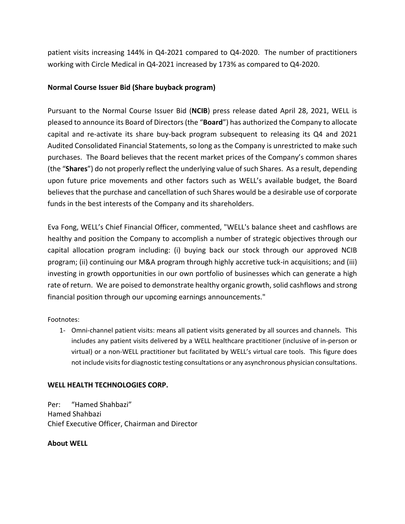patient visits increasing 144% in Q4-2021 compared to Q4-2020. The number of practitioners working with Circle Medical in Q4-2021 increased by 173% as compared to Q4-2020.

# **Normal Course Issuer Bid (Share buyback program)**

Pursuant to the Normal Course Issuer Bid (**NCIB**) press release dated April 28, 2021, WELL is pleased to announce its Board of Directors (the "**Board**") has authorized the Company to allocate capital and re-activate its share buy-back program subsequent to releasing its Q4 and 2021 Audited Consolidated Financial Statements, so long as the Company is unrestricted to make such purchases. The Board believes that the recent market prices of the Company's common shares (the "**Shares**") do not properly reflect the underlying value of such Shares. As a result, depending upon future price movements and other factors such as WELL's available budget, the Board believes that the purchase and cancellation of such Shares would be a desirable use of corporate funds in the best interests of the Company and its shareholders.

Eva Fong, WELL's Chief Financial Officer, commented, "WELL's balance sheet and cashflows are healthy and position the Company to accomplish a number of strategic objectives through our capital allocation program including: (i) buying back our stock through our approved NCIB program; (ii) continuing our M&A program through highly accretive tuck-in acquisitions; and (iii) investing in growth opportunities in our own portfolio of businesses which can generate a high rate of return. We are poised to demonstrate healthy organic growth, solid cashflows and strong financial position through our upcoming earnings announcements."

Footnotes:

1- Omni-channel patient visits: means all patient visits generated by all sources and channels. This includes any patient visits delivered by a WELL healthcare practitioner (inclusive of in-person or virtual) or a non-WELL practitioner but facilitated by WELL's virtual care tools. This figure does not include visits for diagnostic testing consultations or any asynchronous physician consultations.

# **WELL HEALTH TECHNOLOGIES CORP.**

Per: "Hamed Shahbazi" Hamed Shahbazi Chief Executive Officer, Chairman and Director

## **About WELL**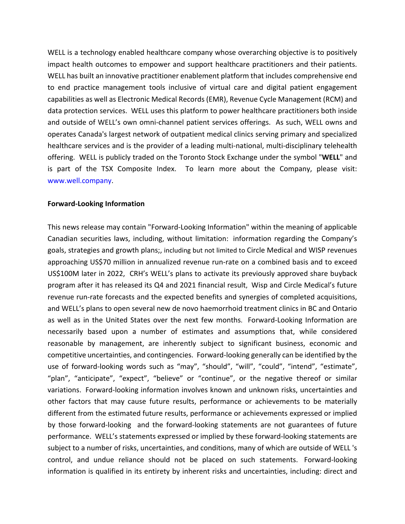WELL is a technology enabled healthcare company whose overarching objective is to positively impact health outcomes to empower and support healthcare practitioners and their patients. WELL has built an innovative practitioner enablement platform that includes comprehensive end to end practice management tools inclusive of virtual care and digital patient engagement capabilities as well as Electronic Medical Records (EMR), Revenue Cycle Management (RCM) and data protection services. WELL uses this platform to power healthcare practitioners both inside and outside of WELL's own omni-channel patient services offerings. As such, WELL owns and operates Canada's largest network of outpatient medical clinics serving primary and specialized healthcare services and is the provider of a leading multi-national, multi-disciplinary telehealth offering. WELL is publicly traded on the Toronto Stock Exchange under the symbol "**WELL**" and is part of the TSX Composite Index. To learn more about the Company, please visit: [www.well.company.](https://www.well.company/)

#### **Forward-Looking Information**

This news release may contain "Forward-Looking Information" within the meaning of applicable Canadian securities laws, including, without limitation: information regarding the Company's goals, strategies and growth plans;, including but not limited to Circle Medical and WISP revenues approaching US\$70 million in annualized revenue run-rate on a combined basis and to exceed US\$100M later in 2022, CRH's WELL's plans to activate its previously approved share buyback program after it has released its Q4 and 2021 financial result, Wisp and Circle Medical's future revenue run-rate forecasts and the expected benefits and synergies of completed acquisitions, and WELL's plans to open several new de novo haemorrhoid treatment clinics in BC and Ontario as well as in the United States over the next few months. Forward-Looking Information are necessarily based upon a number of estimates and assumptions that, while considered reasonable by management, are inherently subject to significant business, economic and competitive uncertainties, and contingencies. Forward-looking generally can be identified by the use of forward-looking words such as "may", "should", "will", "could", "intend", "estimate", "plan", "anticipate", "expect", "believe" or "continue", or the negative thereof or similar variations. Forward-looking information involves known and unknown risks, uncertainties and other factors that may cause future results, performance or achievements to be materially different from the estimated future results, performance or achievements expressed or implied by those forward-looking and the forward-looking statements are not guarantees of future performance. WELL's statements expressed or implied by these forward-looking statements are subject to a number of risks, uncertainties, and conditions, many of which are outside of WELL 's control, and undue reliance should not be placed on such statements. Forward-looking information is qualified in its entirety by inherent risks and uncertainties, including: direct and